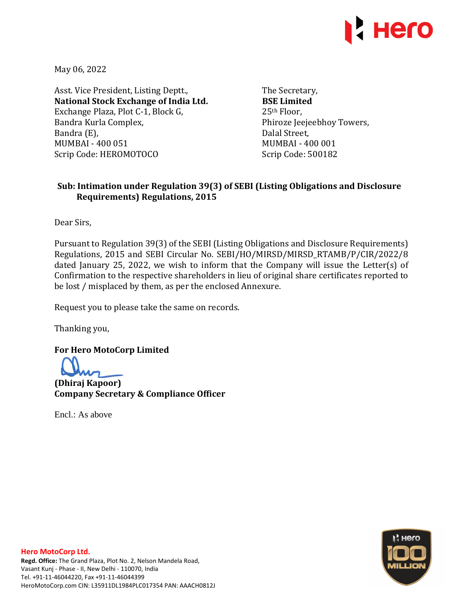

May 06, 2022

Asst. Vice President, Listing Deptt., **National Stock Exchange of India Ltd.**  Exchange Plaza, Plot C-1, Block G, Bandra Kurla Complex, Bandra (E), MUMBAI - 400 051 Scrip Code: HEROMOTOCO

The Secretary, **BSE Limited**  25th Floor, Phiroze Jeejeebhoy Towers, Dalal Street, MUMBAI - 400 001 Scrip Code: 500182

## **Sub: Intimation under Regulation 39(3) of SEBI (Listing Obligations and Disclosure Requirements) Regulations, 2015**

Dear Sirs,

Pursuant to Regulation 39(3) of the SEBI (Listing Obligations and Disclosure Requirements) Regulations, 2015 and SEBI Circular No. SEBI/HO/MIRSD/MIRSD\_RTAMB/P/CIR/2022/8 dated January 25, 2022, we wish to inform that the Company will issue the Letter(s) of Confirmation to the respective shareholders in lieu of original share certificates reported to be lost / misplaced by them, as per the enclosed Annexure.

Request you to please take the same on records.

Thanking you,

**For Hero MotoCorp Limited** 

**(Dhiraj Kapoor) Company Secretary & Compliance Officer** 

Encl.: As above